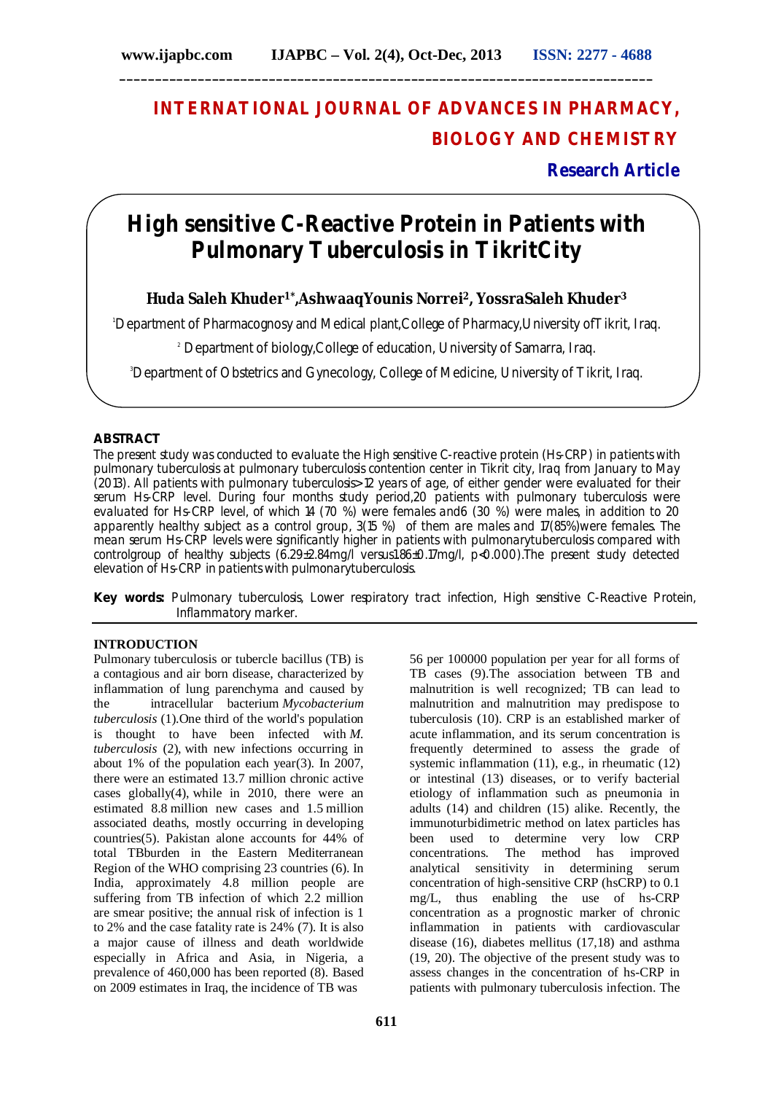# **INTERNATIONAL JOURNAL OF ADVANCES IN PHARMACY, BIOLOGY AND CHEMISTRY**

**Research Article**

## **High sensitive C-Reactive Protein in Patients with Pulmonary Tuberculosis in TikritCity**

### **Huda Saleh Khuder1\* ,AshwaaqYounis Norrei2, YossraSaleh Khuder<sup>3</sup>**

<sup>1</sup>Department of Pharmacognosy and Medical plant,College of Pharmacy,University ofTikrit, Iraq.

<sup>2</sup> Department of biology, College of education, University of Samarra, Irag.

<sup>3</sup>Department of Obstetrics and Gynecology, College of Medicine, University of Tikrit, Iraq.

### **ABSTRACT**

The present study was conducted to evaluate the High sensitive C-reactive protein (Hs-CRP) in patients with pulmonary tuberculosis at pulmonary tuberculosis contention center in Tikrit city, Iraq from January to May (2013). All patients with pulmonary tuberculosis> 12 years of age, of either gender were evaluated for their serum Hs-CRP level. During four months study period, 20 patients with pulmonary tuberculosis were evaluated for Hs-CRP level, of which 14 (70 %) were females and6 (30 %) were males, in addition to 20 apparently healthy subject as a control group, 3(15 %) of them are males and 17(85%)were females. The mean serum Hs-CRP levels were significantly higher in patients with pulmonarytuberculosis compared with controlgroup of healthy subjects (6.29±2.84mg/l versus1.86±0.17mg/l, p<0.000).The present study detected elevation of Hs-CRP in patients with pulmonarytuberculosis.

**Key words:** Pulmonary tuberculosis, Lower respiratory tract infection, High sensitive C-Reactive Protein, Inflammatory marker.

### **INTRODUCTION**

Pulmonary tuberculosis or tubercle bacillus (TB) is a contagious and air born disease, characterized by inflammation of lung parenchyma and caused by the intracellular bacterium *Mycobacterium tuberculosis* (1).One third of the world's population is thought to have been infected with *M. tuberculosis* (2), with new infections occurring in about 1% of the population each year(3). In 2007, there were an estimated 13.7 million chronic active cases globally(4), while in 2010, there were an estimated 8.8 million new cases and 1.5 million associated deaths, mostly occurring in developing countries(5). Pakistan alone accounts for 44% of total TBburden in the Eastern Mediterranean Region of the WHO comprising 23 countries (6). In India, approximately 4.8 million people are suffering from TB infection of which 2.2 million are smear positive; the annual risk of infection is 1 to 2% and the case fatality rate is 24% (7). It is also a major cause of illness and death worldwide especially in Africa and Asia, in Nigeria, a prevalence of 460,000 has been reported (8). Based on 2009 estimates in Iraq, the incidence of TB was

56 per 100000 population per year for all forms of TB cases (9).The association between TB and malnutrition is well recognized; TB can lead to malnutrition and malnutrition may predispose to tuberculosis (10). CRP is an established marker of acute inflammation, and its serum concentration is frequently determined to assess the grade of systemic inflammation (11), e.g., in rheumatic (12) or intestinal (13) diseases, or to verify bacterial etiology of inflammation such as pneumonia in adults (14) and children (15) alike. Recently, the immunoturbidimetric method on latex particles has been used to determine very low CRP concentrations. The method has improved analytical sensitivity in determining serum concentration of high-sensitive CRP (hsCRP) to 0.1 mg/L, thus enabling the use of hs-CRP concentration as a prognostic marker of chronic inflammation in patients with cardiovascular disease (16), diabetes mellitus (17,18) and asthma (19, 20). The objective of the present study was to assess changes in the concentration of hs-CRP in patients with pulmonary tuberculosis infection. The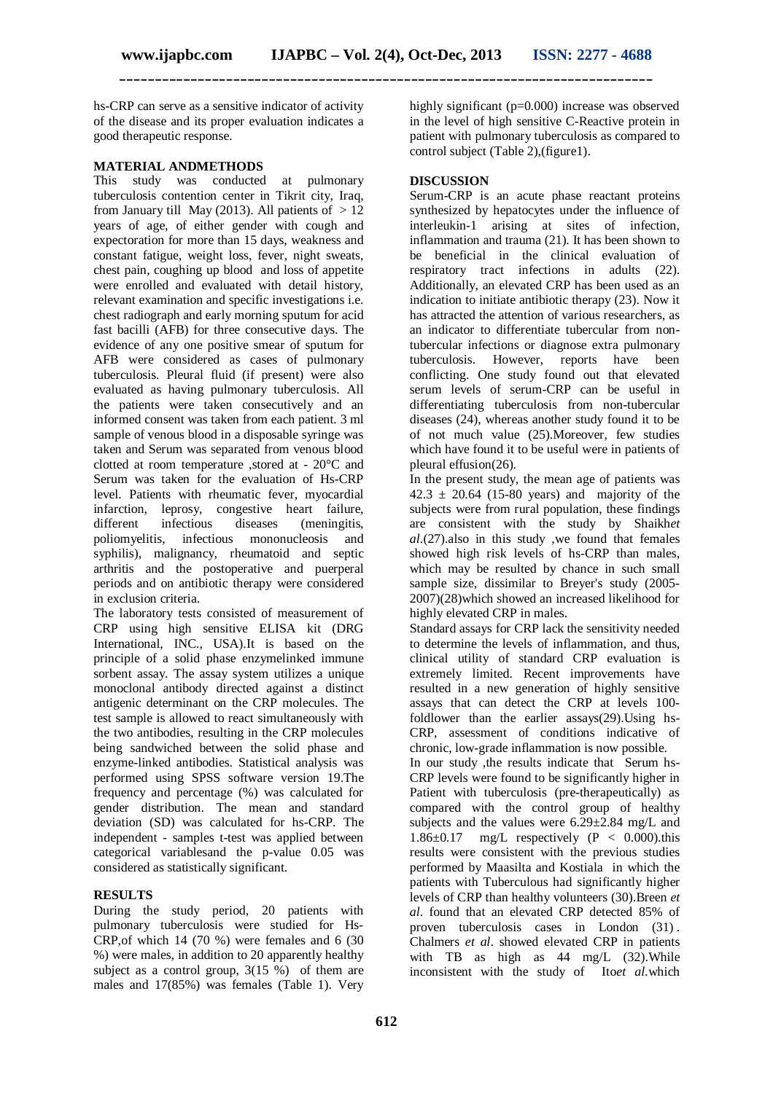hs-CRP can serve as a sensitive indicator of activity of the disease and its proper evaluation indicates a good therapeutic response.

#### **MATERIAL ANDMETHODS**

This study was conducted at pulmonary tuberculosis contention center in Tikrit city, Iraq, from January till May (2013). All patients of  $> 12$ years of age, of either gender with cough and expectoration for more than 15 days, weakness and constant fatigue, weight loss, fever, night sweats, chest pain, coughing up blood and loss of appetite were enrolled and evaluated with detail history, relevant examination and specific investigations i.e. chest radiograph and early morning sputum for acid fast bacilli (AFB) for three consecutive days. The evidence of any one positive smear of sputum for AFB were considered as cases of pulmonary tuberculosis. Pleural fluid (if present) were also evaluated as having pulmonary tuberculosis. All the patients were taken consecutively and an informed consent was taken from each patient. 3 ml sample of venous blood in a disposable syringe was taken and Serum was separated from venous blood clotted at room temperature ,stored at - 20°C and Serum was taken for the evaluation of Hs-CRP level. Patients with rheumatic fever, myocardial infarction, leprosy, congestive heart failure, different infectious diseases (meningitis, poliomyelitis, infectious mononucleosis and syphilis), malignancy, rheumatoid and septic arthritis and the postoperative and puerperal periods and on antibiotic therapy were considered in exclusion criteria.

The laboratory tests consisted of measurement of CRP using high sensitive ELISA kit (DRG International, INC., USA).It is based on the principle of a solid phase enzymelinked immune sorbent assay. The assay system utilizes a unique monoclonal antibody directed against a distinct antigenic determinant on the CRP molecules. The test sample is allowed to react simultaneously with the two antibodies, resulting in the CRP molecules being sandwiched between the solid phase and enzyme-linked antibodies. Statistical analysis was performed using SPSS software version 19.The frequency and percentage (%) was calculated for gender distribution. The mean and standard deviation (SD) was calculated for hs-CRP. The independent - samples t-test was applied between categorical variablesand the p-value 0.05 was considered as statistically significant.

### **RESULTS**

During the study period, 20 patients with pulmonary tuberculosis were studied for Hs-CRP,of which 14 (70 %) were females and 6 (30 %) were males, in addition to 20 apparently healthy subject as a control group,  $3(15\%)$  of them are males and 17(85%) was females (Table 1). Very

highly significant (p=0.000) increase was observed in the level of high sensitive C-Reactive protein in patient with pulmonary tuberculosis as compared to control subject (Table 2),(figure1).

#### **DISCUSSION**

Serum-CRP is an acute phase reactant proteins synthesized by hepatocytes under the influence of interleukin-1 arising at sites of infection, inflammation and trauma (21). It has been shown to be beneficial in the clinical evaluation of respiratory tract infections in adults (22). Additionally, an elevated CRP has been used as an indication to initiate antibiotic therapy (23). Now it has attracted the attention of various researchers, as an indicator to differentiate tubercular from nontubercular infections or diagnose extra pulmonary tuberculosis. However, reports have been conflicting. One study found out that elevated serum levels of serum-CRP can be useful in differentiating tuberculosis from non-tubercular diseases (24), whereas another study found it to be of not much value (25).Moreover, few studies which have found it to be useful were in patients of pleural effusion(26).

In the present study, the mean age of patients was  $42.3 \pm 20.64$  (15-80 years) and majority of the subjects were from rural population, these findings are consistent with the study by Shaikh*et al*.(27).also in this study ,we found that females showed high risk levels of hs-CRP than males, which may be resulted by chance in such small sample size, dissimilar to Breyer's study (2005- 2007)(28)which showed an increased likelihood for highly elevated CRP in males.

Standard assays for CRP lack the sensitivity needed to determine the levels of inflammation, and thus, clinical utility of standard CRP evaluation is extremely limited. Recent improvements have resulted in a new generation of highly sensitive assays that can detect the CRP at levels 100 foldlower than the earlier assays(29).Using hs-CRP, assessment of conditions indicative of chronic, low-grade inflammation is now possible.

In our study ,the results indicate that Serum hs-CRP levels were found to be significantly higher in Patient with tuberculosis (pre-therapeutically) as compared with the control group of healthy subjects and the values were  $6.29 \pm 2.84$  mg/L and 1.86 $\pm$ 0.17 mg/L respectively (P < 0.000).this results were consistent with the previous studies performed by Maasilta and Kostiala in which the patients with Tuberculous had significantly higher levels of CRP than healthy volunteers (30).Breen *et al*. found that an elevated CRP detected 85% of proven tuberculosis cases in London (31) . Chalmers *et al*. showed elevated CRP in patients with TB as high as 44 mg/L (32). While inconsistent with the study of Ito*et al.*which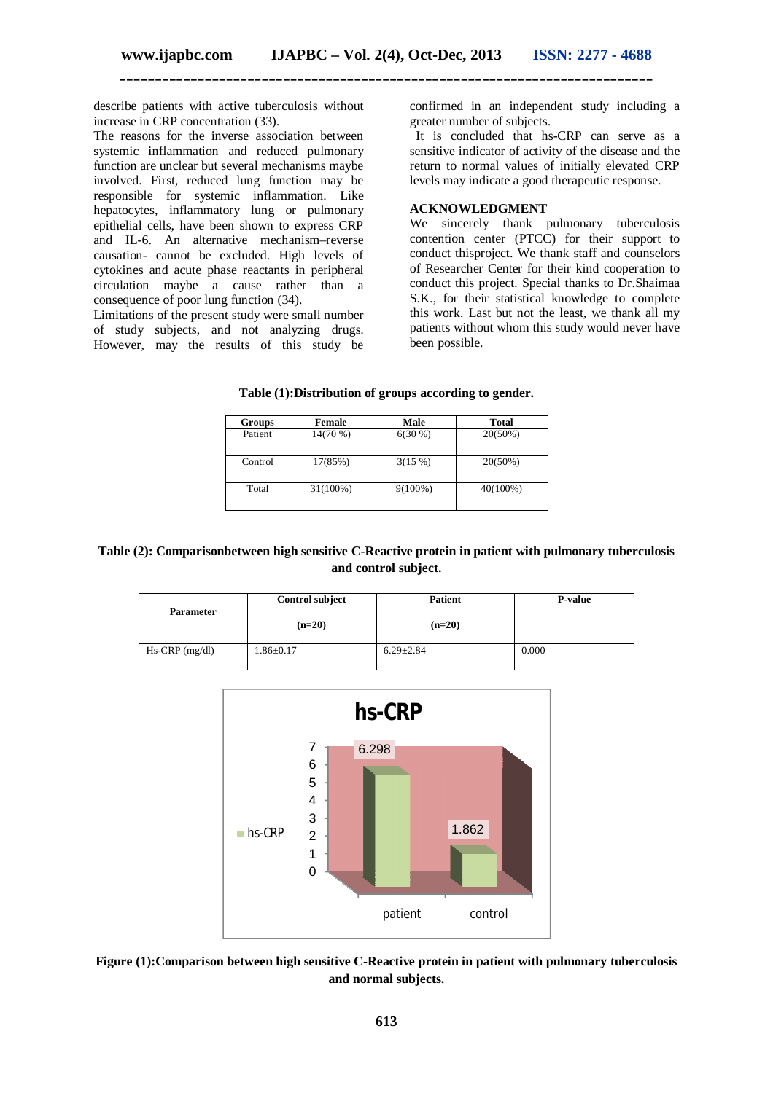describe patients with active tuberculosis without increase in CRP concentration (33).

The reasons for the inverse association between systemic inflammation and reduced pulmonary function are unclear but several mechanisms maybe involved. First, reduced lung function may be responsible for systemic inflammation. Like hepatocytes, inflammatory lung or pulmonary epithelial cells, have been shown to express CRP and IL-6. An alternative mechanism–reverse causation- cannot be excluded. High levels of cytokines and acute phase reactants in peripheral circulation maybe a cause rather than a consequence of poor lung function (34).

Limitations of the present study were small number of study subjects, and not analyzing drugs. However, may the results of this study be

confirmed in an independent study including a greater number of subjects.

It is concluded that hs-CRP can serve as a sensitive indicator of activity of the disease and the return to normal values of initially elevated CRP levels may indicate a good therapeutic response.

#### **ACKNOWLEDGMENT**

We sincerely thank pulmonary tuberculosis contention center (PTCC) for their support to conduct thisproject. We thank staff and counselors of Researcher Center for their kind cooperation to conduct this project. Special thanks to Dr.Shaimaa S.K., for their statistical knowledge to complete this work. Last but not the least, we thank all my patients without whom this study would never have been possible.

| Table (1): Distribution of groups according to gender. |  |  |  |  |
|--------------------------------------------------------|--|--|--|--|
|--------------------------------------------------------|--|--|--|--|

| Groups  | Female     | Male       | Total      |
|---------|------------|------------|------------|
| Patient | $14(70\%)$ | $6(30\%)$  | $20(50\%)$ |
| Control | 17(85%)    | 3(15%)     | $20(50\%)$ |
| Total   | 31(100%)   | $9(100\%)$ | 40(100%)   |

#### **Table (2): Comparisonbetween high sensitive C-Reactive protein in patient with pulmonary tuberculosis and control subject.**

| <b>Parameter</b> | <b>Control subject</b> | Patient         | <b>P-value</b> |
|------------------|------------------------|-----------------|----------------|
|                  | $(n=20)$               | $(n=20)$        |                |
| $Hs-CRP$ (mg/dl) | $1.86 \pm 0.17$        | $6.29 \pm 2.84$ | 0.000          |



**Figure (1):Comparison between high sensitive C-Reactive protein in patient with pulmonary tuberculosis and normal subjects.**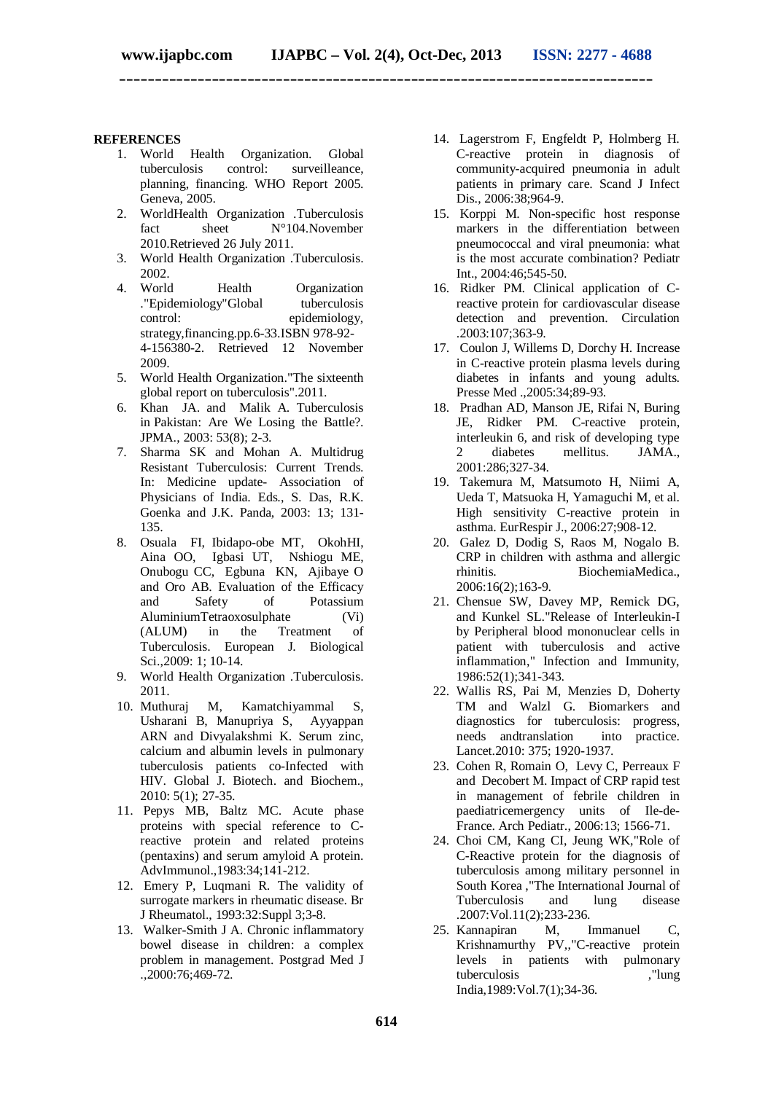**\_\_\_\_\_\_\_\_\_\_\_\_\_\_\_\_\_\_\_\_\_\_\_\_\_\_\_\_\_\_\_\_\_\_\_\_\_\_\_\_\_\_\_\_\_\_\_\_\_\_\_\_\_\_\_\_\_\_\_\_\_\_\_\_\_\_\_\_\_\_\_\_\_\_\_**

#### **REFERENCES**

- 1. World Health Organization. Global tuberculosis control: surveilleance, planning, financing. WHO Report 2005. Geneva, 2005.
- 2. WorldHealth Organization .Tuberculosis fact sheet N°104.November 2010.Retrieved 26 July 2011.
- 3. World Health Organization .Tuberculosis. 2002.
- 4. World Health Organization ."Epidemiology"Global tuberculosis control: epidemiology, strategy,financing.pp.6-33.ISBN 978-92- 4-156380-2. Retrieved 12 November 2009.
- 5. World Health Organization."The sixteenth global report on tuberculosis".2011.
- 6. Khan JA. and Malik A. Tuberculosis in Pakistan: Are We Losing the Battle?. JPMA., 2003: 53(8); 2-3.
- 7. Sharma SK and Mohan A. Multidrug Resistant Tuberculosis: Current Trends. In: Medicine update- Association of Physicians of India. Eds., S. Das, R.K. Goenka and J.K. Panda, 2003: 13; 131- 135.
- 8. Osuala FI, Ibidapo-obe MT, OkohHI, Aina OO, Igbasi UT, Nshiogu ME, Onubogu CC, Egbuna KN, Ajibaye O and Oro AB. Evaluation of the Efficacy and Safety of Potassium AluminiumTetraoxosulphate (Vi)<br>(ALUM) in the Treatment of (ALUM) in the Treatment of Tuberculosis. European J. Biological Sci.,2009: 1; 10-14.
- 9. World Health Organization .Tuberculosis. 2011.<br>10. Muthuraj
- M, Kamatchiyammal S, Usharani B, Manupriya S, Ayyappan ARN and Divyalakshmi K. Serum zinc, calcium and albumin levels in pulmonary tuberculosis patients co-Infected with HIV. Global J. Biotech. and Biochem., 2010: 5(1); 27-35.
- 11. Pepys MB, Baltz MC. Acute phase proteins with special reference to Creactive protein and related proteins (pentaxins) and serum amyloid A protein. AdvImmunol.,1983:34;141-212.
- 12. Emery P, Luqmani R. The validity of surrogate markers in rheumatic disease. Br J Rheumatol., 1993:32:Suppl 3;3-8.
- 13. Walker-Smith J A. Chronic inflammatory bowel disease in children: a complex problem in management. Postgrad Med J  $.2000:76;469-72.$
- 14. Lagerstrom F, Engfeldt P, Holmberg H. C-reactive protein in diagnosis of community-acquired pneumonia in adult patients in primary care. Scand J Infect Dis., 2006:38;964-9.
- 15. Korppi M. Non-specific host response markers in the differentiation between pneumococcal and viral pneumonia: what is the most accurate combination? Pediatr Int., 2004:46;545-50.
- 16. Ridker PM. Clinical application of Creactive protein for cardiovascular disease detection and prevention. Circulation .2003:107;363-9.
- 17. Coulon J, Willems D, Dorchy H. Increase in C-reactive protein plasma levels during diabetes in infants and young adults. Presse Med ., 2005: 34: 89-93.
- 18. Pradhan AD, Manson JE, Rifai N, Buring JE, Ridker PM. C-reactive protein, interleukin 6, and risk of developing type<br>2 diabetes mellitus. JAMA. 2 diabetes mellitus. 2001:286;327-34.
- 19. Takemura M, Matsumoto H, Niimi A, Ueda T, Matsuoka H, Yamaguchi M, et al. High sensitivity C-reactive protein in asthma. EurRespir J., 2006:27;908-12.
- 20. Galez D, Dodig S, Raos M, Nogalo B. CRP in children with asthma and allergic rhinitis. BiochemiaMedica., 2006:16(2);163-9.
- 21. Chensue SW, Davey MP, Remick DG, and Kunkel SL."Release of Interleukin-I by Peripheral blood mononuclear cells in patient with tuberculosis and active inflammation," Infection and Immunity, 1986:52(1);341-343.
- 22. Wallis RS, Pai M, Menzies D, Doherty TM and Walzl G. Biomarkers and diagnostics for tuberculosis: progress, needs andtranslation into practice. Lancet.2010: 375; 1920-1937.
- 23. Cohen R, Romain O, Levy C, Perreaux F and Decobert M. Impact of CRP rapid test in management of febrile children in paediatricemergency units of Ile-de-France. Arch Pediatr., 2006:13; 1566-71.
- 24. Choi CM, Kang CI, Jeung WK,"Role of C-Reactive protein for the diagnosis of tuberculosis among military personnel in South Korea , The International Journal of<br>Tuberculosis and lung disease Tuberculosis and lung .2007:Vol.11(2);233-236.
- 25. Kannapiran M, Immanuel C, Krishnamurthy PV,,"C-reactive protein levels in patients with pulmonary tuberculosis ,"lung India,1989:Vol.7(1);34-36.